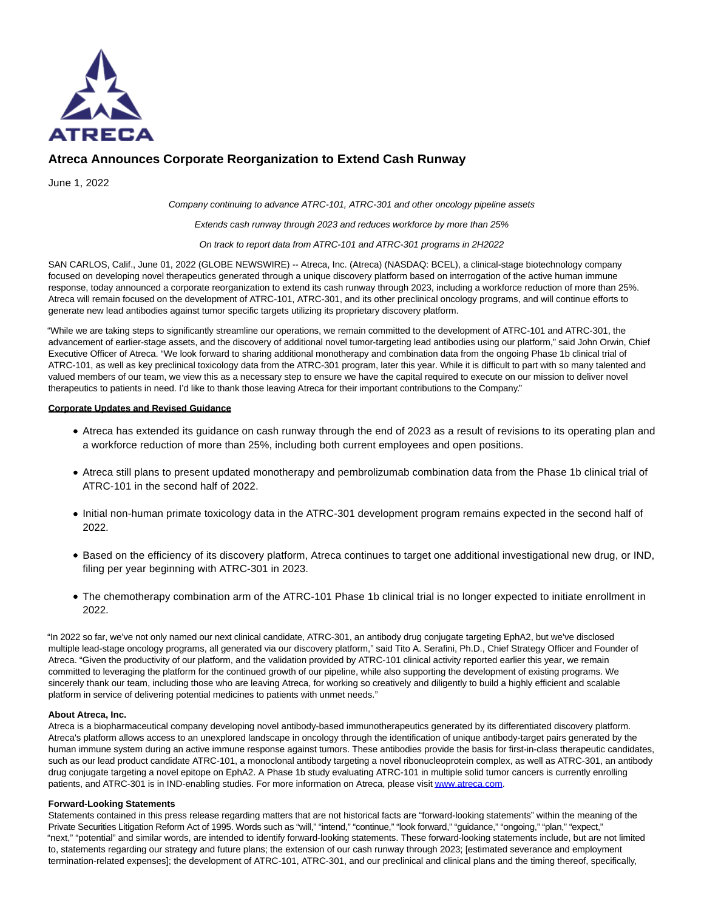

# **Atreca Announces Corporate Reorganization to Extend Cash Runway**

June 1, 2022

Company continuing to advance ATRC-101, ATRC-301 and other oncology pipeline assets

Extends cash runway through 2023 and reduces workforce by more than 25%

On track to report data from ATRC-101 and ATRC-301 programs in 2H2022

SAN CARLOS, Calif., June 01, 2022 (GLOBE NEWSWIRE) -- Atreca, Inc. (Atreca) (NASDAQ: BCEL), a clinical-stage biotechnology company focused on developing novel therapeutics generated through a unique discovery platform based on interrogation of the active human immune response, today announced a corporate reorganization to extend its cash runway through 2023, including a workforce reduction of more than 25%. Atreca will remain focused on the development of ATRC-101, ATRC-301, and its other preclinical oncology programs, and will continue efforts to generate new lead antibodies against tumor specific targets utilizing its proprietary discovery platform.

"While we are taking steps to significantly streamline our operations, we remain committed to the development of ATRC-101 and ATRC-301, the advancement of earlier-stage assets, and the discovery of additional novel tumor-targeting lead antibodies using our platform," said John Orwin, Chief Executive Officer of Atreca. "We look forward to sharing additional monotherapy and combination data from the ongoing Phase 1b clinical trial of ATRC-101, as well as key preclinical toxicology data from the ATRC-301 program, later this year. While it is difficult to part with so many talented and valued members of our team, we view this as a necessary step to ensure we have the capital required to execute on our mission to deliver novel therapeutics to patients in need. I'd like to thank those leaving Atreca for their important contributions to the Company."

## **Corporate Updates and Revised Guidance**

- Atreca has extended its guidance on cash runway through the end of 2023 as a result of revisions to its operating plan and a workforce reduction of more than 25%, including both current employees and open positions.
- Atreca still plans to present updated monotherapy and pembrolizumab combination data from the Phase 1b clinical trial of ATRC-101 in the second half of 2022.
- Initial non-human primate toxicology data in the ATRC-301 development program remains expected in the second half of 2022.
- Based on the efficiency of its discovery platform, Atreca continues to target one additional investigational new drug, or IND, filing per year beginning with ATRC-301 in 2023.
- The chemotherapy combination arm of the ATRC-101 Phase 1b clinical trial is no longer expected to initiate enrollment in 2022.

"In 2022 so far, we've not only named our next clinical candidate, ATRC-301, an antibody drug conjugate targeting EphA2, but we've disclosed multiple lead-stage oncology programs, all generated via our discovery platform," said Tito A. Serafini, Ph.D., Chief Strategy Officer and Founder of Atreca. "Given the productivity of our platform, and the validation provided by ATRC-101 clinical activity reported earlier this year, we remain committed to leveraging the platform for the continued growth of our pipeline, while also supporting the development of existing programs. We sincerely thank our team, including those who are leaving Atreca, for working so creatively and diligently to build a highly efficient and scalable platform in service of delivering potential medicines to patients with unmet needs."

## **About Atreca, Inc.**

Atreca is a biopharmaceutical company developing novel antibody-based immunotherapeutics generated by its differentiated discovery platform. Atreca's platform allows access to an unexplored landscape in oncology through the identification of unique antibody-target pairs generated by the human immune system during an active immune response against tumors. These antibodies provide the basis for first-in-class therapeutic candidates, such as our lead product candidate ATRC-101, a monoclonal antibody targeting a novel ribonucleoprotein complex, as well as ATRC-301, an antibody drug conjugate targeting a novel epitope on EphA2. A Phase 1b study evaluating ATRC-101 in multiple solid tumor cancers is currently enrolling patients, and ATRC-301 is in IND-enabling studies. For more information on Atreca, please visi[t www.atreca.com.](https://www.globenewswire.com/Tracker?data=9QFGsQIEgk2qV3fDNBXdyDpnMSdfsOq3bAzQfSXLqlrfcRG8ThnJt3Xv9mkUBIr5nigGdDPfgudMrDAJfvsC_Q==) 

## **Forward-Looking Statements**

Statements contained in this press release regarding matters that are not historical facts are "forward-looking statements" within the meaning of the Private Securities Litigation Reform Act of 1995. Words such as "will," "intend," "continue," "look forward," "guidance," "ongoing," "plan," "expect," "next," "potential" and similar words, are intended to identify forward-looking statements. These forward-looking statements include, but are not limited to, statements regarding our strategy and future plans; the extension of our cash runway through 2023; [estimated severance and employment termination-related expenses]; the development of ATRC-101, ATRC-301, and our preclinical and clinical plans and the timing thereof, specifically,